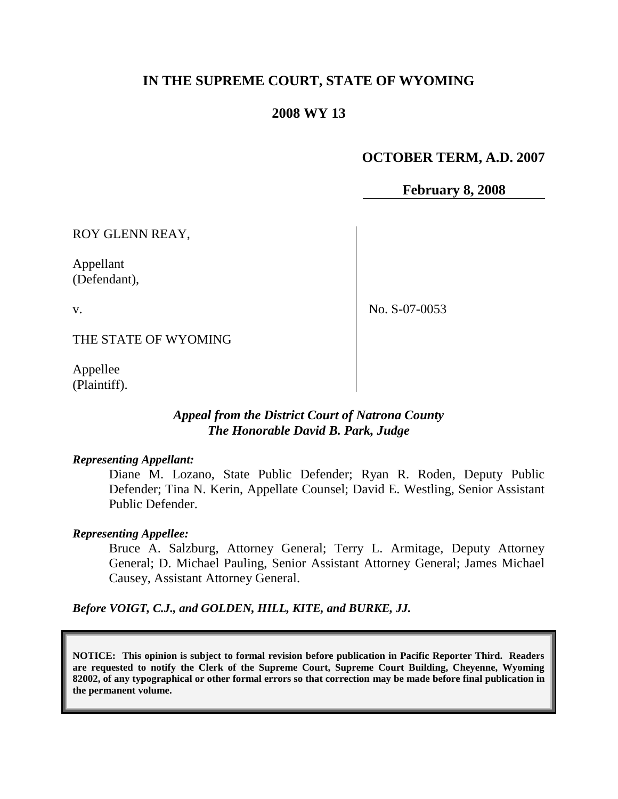# **IN THE SUPREME COURT, STATE OF WYOMING**

## **2008 WY 13**

# **OCTOBER TERM, A.D. 2007**

**February 8, 2008**

ROY GLENN REAY,

Appellant (Defendant),

v.

No. S-07-0053

THE STATE OF WYOMING

Appellee (Plaintiff).

## *Appeal from the District Court of Natrona County The Honorable David B. Park, Judge*

#### *Representing Appellant:*

Diane M. Lozano, State Public Defender; Ryan R. Roden, Deputy Public Defender; Tina N. Kerin, Appellate Counsel; David E. Westling, Senior Assistant Public Defender.

#### *Representing Appellee:*

Bruce A. Salzburg, Attorney General; Terry L. Armitage, Deputy Attorney General; D. Michael Pauling, Senior Assistant Attorney General; James Michael Causey, Assistant Attorney General.

*Before VOIGT, C.J., and GOLDEN, HILL, KITE, and BURKE, JJ.*

**NOTICE: This opinion is subject to formal revision before publication in Pacific Reporter Third. Readers are requested to notify the Clerk of the Supreme Court, Supreme Court Building, Cheyenne, Wyoming 82002, of any typographical or other formal errors so that correction may be made before final publication in the permanent volume.**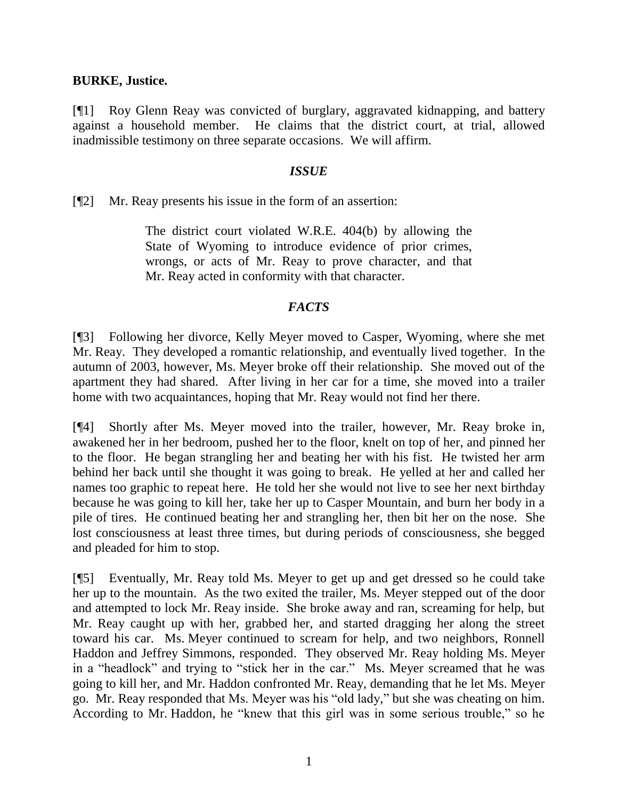### **BURKE, Justice.**

[¶1] Roy Glenn Reay was convicted of burglary, aggravated kidnapping, and battery against a household member. He claims that the district court, at trial, allowed inadmissible testimony on three separate occasions. We will affirm.

### *ISSUE*

[¶2] Mr. Reay presents his issue in the form of an assertion:

The district court violated W.R.E. 404(b) by allowing the State of Wyoming to introduce evidence of prior crimes, wrongs, or acts of Mr. Reay to prove character, and that Mr. Reay acted in conformity with that character.

### *FACTS*

[¶3] Following her divorce, Kelly Meyer moved to Casper, Wyoming, where she met Mr. Reay. They developed a romantic relationship, and eventually lived together. In the autumn of 2003, however, Ms. Meyer broke off their relationship. She moved out of the apartment they had shared. After living in her car for a time, she moved into a trailer home with two acquaintances, hoping that Mr. Reay would not find her there.

[¶4] Shortly after Ms. Meyer moved into the trailer, however, Mr. Reay broke in, awakened her in her bedroom, pushed her to the floor, knelt on top of her, and pinned her to the floor. He began strangling her and beating her with his fist. He twisted her arm behind her back until she thought it was going to break. He yelled at her and called her names too graphic to repeat here. He told her she would not live to see her next birthday because he was going to kill her, take her up to Casper Mountain, and burn her body in a pile of tires. He continued beating her and strangling her, then bit her on the nose. She lost consciousness at least three times, but during periods of consciousness, she begged and pleaded for him to stop.

[¶5] Eventually, Mr. Reay told Ms. Meyer to get up and get dressed so he could take her up to the mountain. As the two exited the trailer, Ms. Meyer stepped out of the door and attempted to lock Mr. Reay inside. She broke away and ran, screaming for help, but Mr. Reay caught up with her, grabbed her, and started dragging her along the street toward his car. Ms. Meyer continued to scream for help, and two neighbors, Ronnell Haddon and Jeffrey Simmons, responded. They observed Mr. Reay holding Ms. Meyer in a "headlock" and trying to "stick her in the car." Ms. Meyer screamed that he was going to kill her, and Mr. Haddon confronted Mr. Reay, demanding that he let Ms. Meyer go. Mr. Reay responded that Ms. Meyer was his "old lady," but she was cheating on him. According to Mr. Haddon, he "knew that this girl was in some serious trouble," so he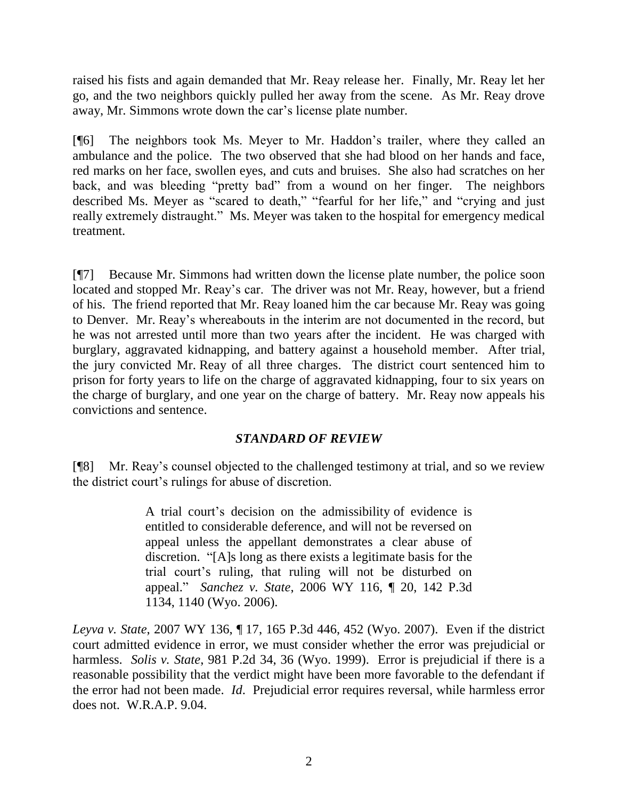raised his fists and again demanded that Mr. Reay release her. Finally, Mr. Reay let her go, and the two neighbors quickly pulled her away from the scene. As Mr. Reay drove away, Mr. Simmons wrote down the car"s license plate number.

[¶6] The neighbors took Ms. Meyer to Mr. Haddon"s trailer, where they called an ambulance and the police. The two observed that she had blood on her hands and face, red marks on her face, swollen eyes, and cuts and bruises. She also had scratches on her back, and was bleeding "pretty bad" from a wound on her finger. The neighbors described Ms. Meyer as "scared to death," "fearful for her life," and "crying and just really extremely distraught." Ms. Meyer was taken to the hospital for emergency medical treatment.

[¶7] Because Mr. Simmons had written down the license plate number, the police soon located and stopped Mr. Reay's car. The driver was not Mr. Reay, however, but a friend of his. The friend reported that Mr. Reay loaned him the car because Mr. Reay was going to Denver. Mr. Reay"s whereabouts in the interim are not documented in the record, but he was not arrested until more than two years after the incident. He was charged with burglary, aggravated kidnapping, and battery against a household member. After trial, the jury convicted Mr. Reay of all three charges. The district court sentenced him to prison for forty years to life on the charge of aggravated kidnapping, four to six years on the charge of burglary, and one year on the charge of battery. Mr. Reay now appeals his convictions and sentence.

# *STANDARD OF REVIEW*

[¶8] Mr. Reay"s counsel objected to the challenged testimony at trial, and so we review the district court"s rulings for abuse of discretion.

> A trial court"s decision on the admissibility of evidence is entitled to considerable deference, and will not be reversed on appeal unless the appellant demonstrates a clear abuse of discretion. "[A]s long as there exists a legitimate basis for the trial court"s ruling, that ruling will not be disturbed on appeal." *Sanchez v. State*, 2006 WY 116, ¶ 20, 142 P.3d 1134, 1140 (Wyo. 2006).

*Leyva v. State*, 2007 WY 136, ¶ 17, 165 P.3d 446, 452 (Wyo. 2007). Even if the district court admitted evidence in error, we must consider whether the error was prejudicial or harmless. *Solis v. State*, 981 P.2d 34, 36 (Wyo. 1999). Error is prejudicial if there is a reasonable possibility that the verdict might have been more favorable to the defendant if the error had not been made. *Id*. Prejudicial error requires reversal, while harmless error does not. W.R.A.P. 9.04.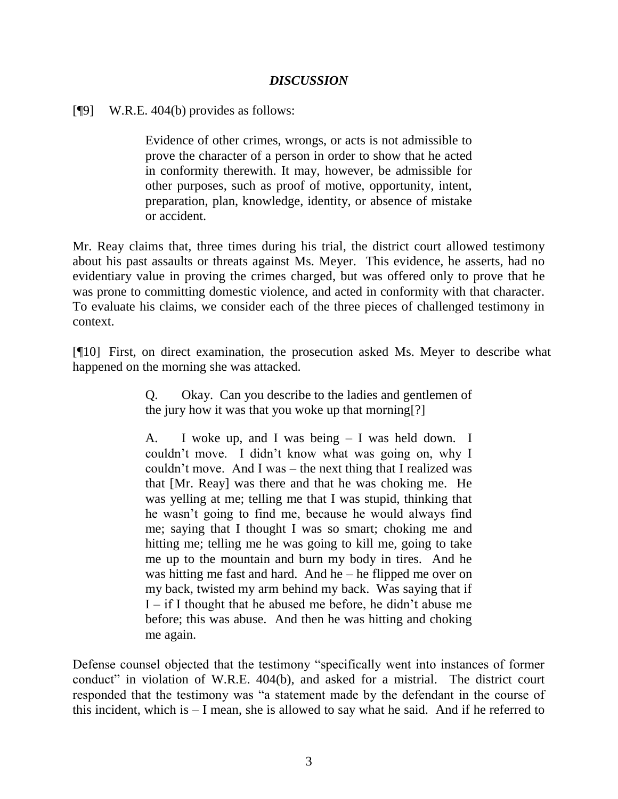## *DISCUSSION*

[¶9] W.R.E. 404(b) provides as follows:

Evidence of other crimes, wrongs, or acts is not admissible to prove the character of a person in order to show that he acted in conformity therewith. It may, however, be admissible for other purposes, such as proof of motive, opportunity, intent, preparation, plan, knowledge, identity, or absence of mistake or accident.

Mr. Reay claims that, three times during his trial, the district court allowed testimony about his past assaults or threats against Ms. Meyer. This evidence, he asserts, had no evidentiary value in proving the crimes charged, but was offered only to prove that he was prone to committing domestic violence, and acted in conformity with that character. To evaluate his claims, we consider each of the three pieces of challenged testimony in context.

[¶10] First, on direct examination, the prosecution asked Ms. Meyer to describe what happened on the morning she was attacked.

> Q. Okay. Can you describe to the ladies and gentlemen of the jury how it was that you woke up that morning[?]

> A. I woke up, and I was being – I was held down. I couldn"t move. I didn"t know what was going on, why I couldn"t move. And I was – the next thing that I realized was that [Mr. Reay] was there and that he was choking me. He was yelling at me; telling me that I was stupid, thinking that he wasn"t going to find me, because he would always find me; saying that I thought I was so smart; choking me and hitting me; telling me he was going to kill me, going to take me up to the mountain and burn my body in tires. And he was hitting me fast and hard. And he – he flipped me over on my back, twisted my arm behind my back. Was saying that if  $I - if I thought that he abuseed me before, he didn't abuse me$ before; this was abuse. And then he was hitting and choking me again.

Defense counsel objected that the testimony "specifically went into instances of former conduct" in violation of W.R.E. 404(b), and asked for a mistrial. The district court responded that the testimony was "a statement made by the defendant in the course of this incident, which is – I mean, she is allowed to say what he said. And if he referred to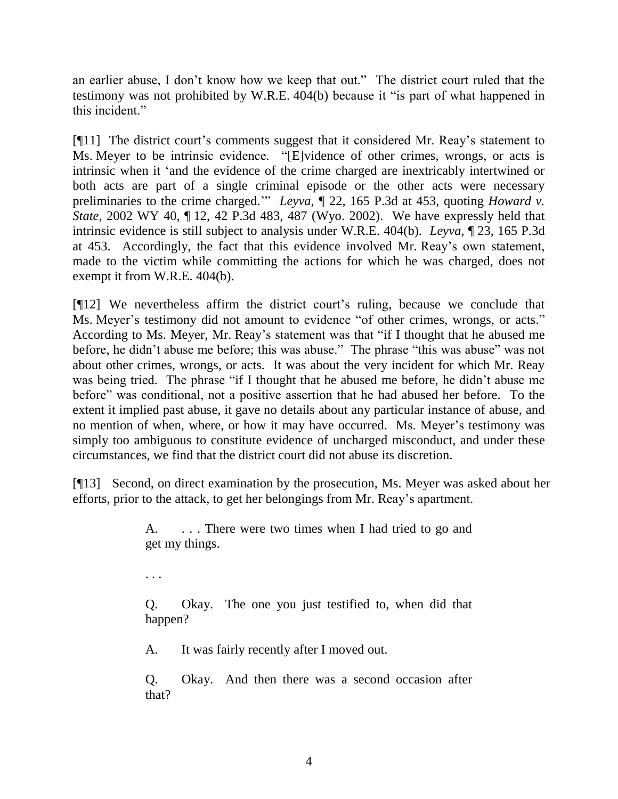an earlier abuse, I don"t know how we keep that out." The district court ruled that the testimony was not prohibited by W.R.E. 404(b) because it "is part of what happened in this incident."

[¶11] The district court's comments suggest that it considered Mr. Reav's statement to Ms. Meyer to be intrinsic evidence. "[E]vidence of other crimes, wrongs, or acts is intrinsic when it "and the evidence of the crime charged are inextricably intertwined or both acts are part of a single criminal episode or the other acts were necessary preliminaries to the crime charged."" *Leyva*, ¶ 22, 165 P.3d at 453, quoting *Howard v. State*, 2002 WY 40, ¶ 12, 42 P.3d 483, 487 (Wyo. 2002). We have expressly held that intrinsic evidence is still subject to analysis under W.R.E. 404(b). *Leyva*, ¶ 23, 165 P.3d at 453. Accordingly, the fact that this evidence involved Mr. Reay"s own statement, made to the victim while committing the actions for which he was charged, does not exempt it from W.R.E. 404(b).

[¶12] We nevertheless affirm the district court"s ruling, because we conclude that Ms. Meyer's testimony did not amount to evidence "of other crimes, wrongs, or acts." According to Ms. Meyer, Mr. Reay"s statement was that "if I thought that he abused me before, he didn"t abuse me before; this was abuse." The phrase "this was abuse" was not about other crimes, wrongs, or acts. It was about the very incident for which Mr. Reay was being tried. The phrase "if I thought that he abused me before, he didn"t abuse me before" was conditional, not a positive assertion that he had abused her before. To the extent it implied past abuse, it gave no details about any particular instance of abuse, and no mention of when, where, or how it may have occurred. Ms. Meyer's testimony was simply too ambiguous to constitute evidence of uncharged misconduct, and under these circumstances, we find that the district court did not abuse its discretion.

[¶13] Second, on direct examination by the prosecution, Ms. Meyer was asked about her efforts, prior to the attack, to get her belongings from Mr. Reay"s apartment.

> A. ... There were two times when I had tried to go and get my things.

. . .

Q. Okay. The one you just testified to, when did that happen?

A. It was fairly recently after I moved out.

Q. Okay. And then there was a second occasion after that?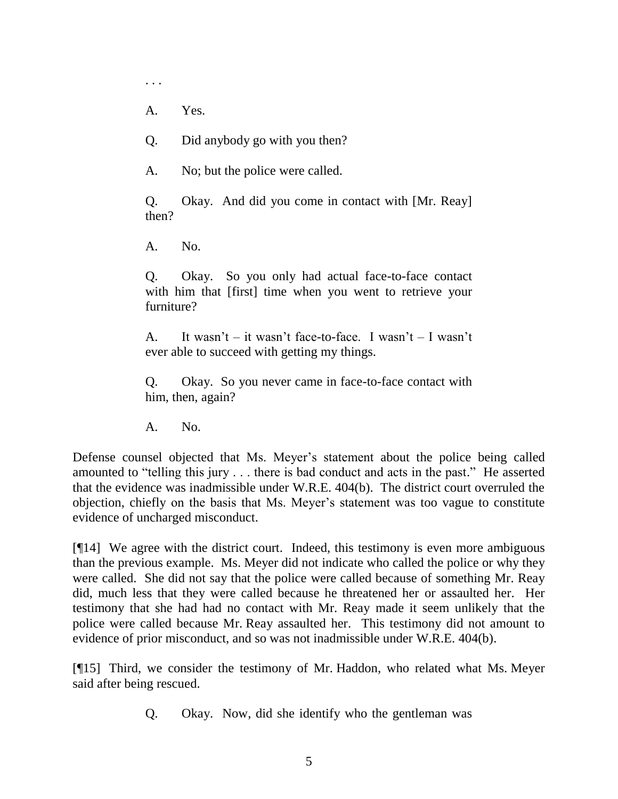A. Yes.

. . .

- Q. Did anybody go with you then?
- A. No; but the police were called.

Q. Okay. And did you come in contact with [Mr. Reay] then?

A. No.

Q. Okay. So you only had actual face-to-face contact with him that [first] time when you went to retrieve your furniture?

A. It wasn"t – it wasn"t face-to-face. I wasn"t – I wasn"t ever able to succeed with getting my things.

Q. Okay. So you never came in face-to-face contact with him, then, again?

A. No.

Defense counsel objected that Ms. Meyer's statement about the police being called amounted to "telling this jury . . . there is bad conduct and acts in the past." He asserted that the evidence was inadmissible under W.R.E. 404(b). The district court overruled the objection, chiefly on the basis that Ms. Meyer"s statement was too vague to constitute evidence of uncharged misconduct.

[¶14] We agree with the district court. Indeed, this testimony is even more ambiguous than the previous example. Ms. Meyer did not indicate who called the police or why they were called. She did not say that the police were called because of something Mr. Reay did, much less that they were called because he threatened her or assaulted her. Her testimony that she had had no contact with Mr. Reay made it seem unlikely that the police were called because Mr. Reay assaulted her. This testimony did not amount to evidence of prior misconduct, and so was not inadmissible under W.R.E. 404(b).

[¶15] Third, we consider the testimony of Mr. Haddon, who related what Ms. Meyer said after being rescued.

Q. Okay. Now, did she identify who the gentleman was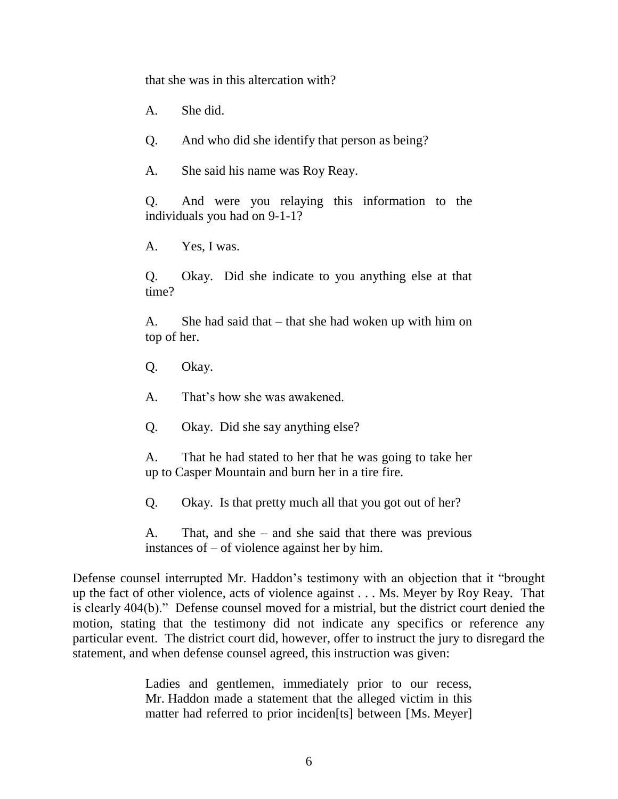that she was in this altercation with?

A. She did.

Q. And who did she identify that person as being?

A. She said his name was Roy Reay.

Q. And were you relaying this information to the individuals you had on 9-1-1?

A. Yes, I was.

Q. Okay. Did she indicate to you anything else at that time?

A. She had said that – that she had woken up with him on top of her.

Q. Okay.

A. That"s how she was awakened.

Q. Okay. Did she say anything else?

A. That he had stated to her that he was going to take her up to Casper Mountain and burn her in a tire fire.

Q. Okay. Is that pretty much all that you got out of her?

A. That, and she – and she said that there was previous instances of – of violence against her by him.

Defense counsel interrupted Mr. Haddon"s testimony with an objection that it "brought up the fact of other violence, acts of violence against . . . Ms. Meyer by Roy Reay. That is clearly 404(b)." Defense counsel moved for a mistrial, but the district court denied the motion, stating that the testimony did not indicate any specifics or reference any particular event. The district court did, however, offer to instruct the jury to disregard the statement, and when defense counsel agreed, this instruction was given:

> Ladies and gentlemen, immediately prior to our recess, Mr. Haddon made a statement that the alleged victim in this matter had referred to prior inciden[ts] between [Ms. Meyer]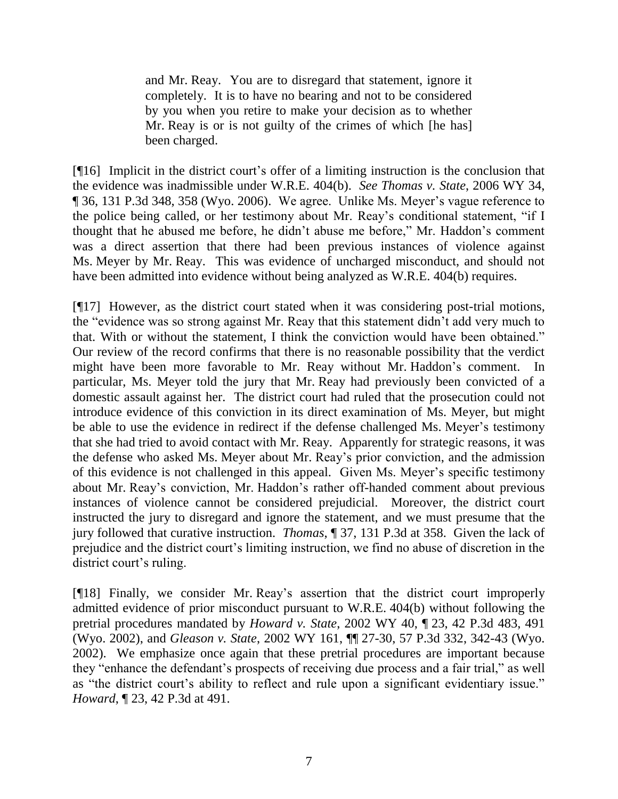and Mr. Reay. You are to disregard that statement, ignore it completely. It is to have no bearing and not to be considered by you when you retire to make your decision as to whether Mr. Reay is or is not guilty of the crimes of which [he has] been charged.

[¶16] Implicit in the district court"s offer of a limiting instruction is the conclusion that the evidence was inadmissible under W.R.E. 404(b). *See Thomas v. State*, 2006 WY 34, ¶ 36, 131 P.3d 348, 358 (Wyo. 2006). We agree. Unlike Ms. Meyer"s vague reference to the police being called, or her testimony about Mr. Reay"s conditional statement, "if I thought that he abused me before, he didn"t abuse me before," Mr. Haddon"s comment was a direct assertion that there had been previous instances of violence against Ms. Meyer by Mr. Reay. This was evidence of uncharged misconduct, and should not have been admitted into evidence without being analyzed as W.R.E. 404(b) requires.

[¶17] However, as the district court stated when it was considering post-trial motions, the "evidence was so strong against Mr. Reay that this statement didn"t add very much to that. With or without the statement, I think the conviction would have been obtained." Our review of the record confirms that there is no reasonable possibility that the verdict might have been more favorable to Mr. Reay without Mr. Haddon"s comment. In particular, Ms. Meyer told the jury that Mr. Reay had previously been convicted of a domestic assault against her. The district court had ruled that the prosecution could not introduce evidence of this conviction in its direct examination of Ms. Meyer, but might be able to use the evidence in redirect if the defense challenged Ms. Meyer's testimony that she had tried to avoid contact with Mr. Reay. Apparently for strategic reasons, it was the defense who asked Ms. Meyer about Mr. Reay"s prior conviction, and the admission of this evidence is not challenged in this appeal. Given Ms. Meyer"s specific testimony about Mr. Reay"s conviction, Mr. Haddon"s rather off-handed comment about previous instances of violence cannot be considered prejudicial. Moreover, the district court instructed the jury to disregard and ignore the statement, and we must presume that the jury followed that curative instruction. *Thomas*, ¶ 37, 131 P.3d at 358. Given the lack of prejudice and the district court's limiting instruction, we find no abuse of discretion in the district court's ruling.

[¶18] Finally, we consider Mr. Reay"s assertion that the district court improperly admitted evidence of prior misconduct pursuant to W.R.E. 404(b) without following the pretrial procedures mandated by *Howard v. State*, 2002 WY 40, ¶ 23, 42 P.3d 483, 491 (Wyo. 2002), and *Gleason v. State*, 2002 WY 161, ¶¶ 27-30, 57 P.3d 332, 342-43 (Wyo. 2002). We emphasize once again that these pretrial procedures are important because they "enhance the defendant"s prospects of receiving due process and a fair trial," as well as "the district court's ability to reflect and rule upon a significant evidentiary issue." *Howard*, ¶ 23, 42 P.3d at 491.